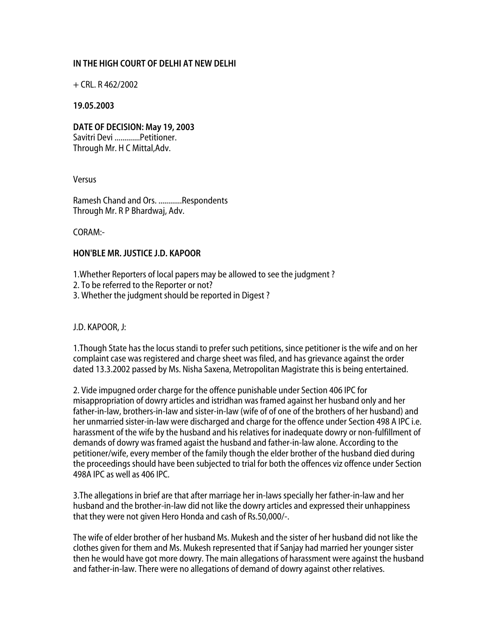## **IN THE HIGH COURT OF DELHI AT NEW DELHI**

 $+$  CRL. R 462/2002

## **19.05.2003**

**DATE OF DECISION: May 19, 2003**  Savitri Devi .............Petitioner. Through Mr. H C Mittal,Adv.

Versus

Ramesh Chand and Ors. ............Respondents Through Mr. R P Bhardwaj, Adv.

CORAM:-

## **HON'BLE MR. JUSTICE J.D. KAPOOR**

1.Whether Reporters of local papers may be allowed to see the judgment ?

- 2. To be referred to the Reporter or not?
- 3. Whether the judgment should be reported in Digest ?

J.D. KAPOOR, J:

1.Though State has the locus standi to prefer such petitions, since petitioner is the wife and on her complaint case was registered and charge sheet was filed, and has grievance against the order dated 13.3.2002 passed by Ms. Nisha Saxena, Metropolitan Magistrate this is being entertained.

2. Vide impugned order charge for the offence punishable under Section 406 IPC for misappropriation of dowry articles and istridhan was framed against her husband only and her father-in-law, brothers-in-law and sister-in-law (wife of of one of the brothers of her husband) and her unmarried sister-in-law were discharged and charge for the offence under Section 498 A IPC i.e. harassment of the wife by the husband and his relatives for inadequate dowry or non-fulfillment of demands of dowry was framed agaist the husband and father-in-law alone. According to the petitioner/wife, every member of the family though the elder brother of the husband died during the proceedings should have been subjected to trial for both the offences viz offence under Section 498A IPC as well as 406 IPC.

3.The allegations in brief are that after marriage her in-laws specially her father-in-law and her husband and the brother-in-law did not like the dowry articles and expressed their unhappiness that they were not given Hero Honda and cash of Rs.50,000/-.

The wife of elder brother of her husband Ms. Mukesh and the sister of her husband did not like the clothes given for them and Ms. Mukesh represented that if Sanjay had married her younger sister then he would have got more dowry. The main allegations of harassment were against the husband and father-in-law. There were no allegations of demand of dowry against other relatives.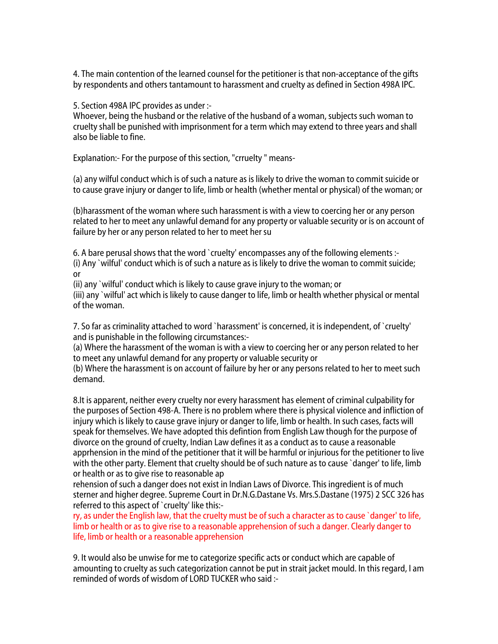4. The main contention of the learned counsel for the petitioner is that non-acceptance of the gifts by respondents and others tantamount to harassment and cruelty as defined in Section 498A IPC.

5. Section 498A IPC provides as under :-

Whoever, being the husband or the relative of the husband of a woman, subjects such woman to cruelty shall be punished with imprisonment for a term which may extend to three years and shall also be liable to fine.

Explanation:- For the purpose of this section, "crruelty " means-

(a) any wilful conduct which is of such a nature as is likely to drive the woman to commit suicide or to cause grave injury or danger to life, limb or health (whether mental or physical) of the woman; or

(b)harassment of the woman where such harassment is with a view to coercing her or any person related to her to meet any unlawful demand for any property or valuable security or is on account of failure by her or any person related to her to meet her su

6. A bare perusal shows that the word `cruelty' encompasses any of the following elements :- (i) Any `wilful' conduct which is of such a nature as is likely to drive the woman to commit suicide; or

(ii) any `wilful' conduct which is likely to cause grave injury to the woman; or

(iii) any `wilful' act which is likely to cause danger to life, limb or health whether physical or mental of the woman.

7. So far as criminality attached to word `harassment' is concerned, it is independent, of `cruelty' and is punishable in the following circumstances:-

(a) Where the harassment of the woman is with a view to coercing her or any person related to her to meet any unlawful demand for any property or valuable security or

(b) Where the harassment is on account of failure by her or any persons related to her to meet such demand.

8.It is apparent, neither every cruelty nor every harassment has element of criminal culpability for the purposes of Section 498-A. There is no problem where there is physical violence and infliction of injury which is likely to cause grave injury or danger to life, limb or health. In such cases, facts will speak for themselves. We have adopted this defintion from English Law though for the purpose of divorce on the ground of cruelty, Indian Law defines it as a conduct as to cause a reasonable apprhension in the mind of the petitioner that it will be harmful or injurious for the petitioner to live with the other party. Element that cruelty should be of such nature as to cause `danger' to life, limb or health or as to give rise to reasonable ap

rehension of such a danger does not exist in Indian Laws of Divorce. This ingredient is of much sterner and higher degree. Supreme Court in Dr.N.G.Dastane Vs. Mrs.S.Dastane (1975) 2 SCC 326 has referred to this aspect of `cruelty' like this:-

ry, as under the English law, that the cruelty must be of such a character as to cause `danger' to life, limb or health or as to give rise to a reasonable apprehension of such a danger. Clearly danger to life, limb or health or a reasonable apprehension

9. It would also be unwise for me to categorize specific acts or conduct which are capable of amounting to cruelty as such categorization cannot be put in strait jacket mould. In this regard, I am reminded of words of wisdom of LORD TUCKER who said :-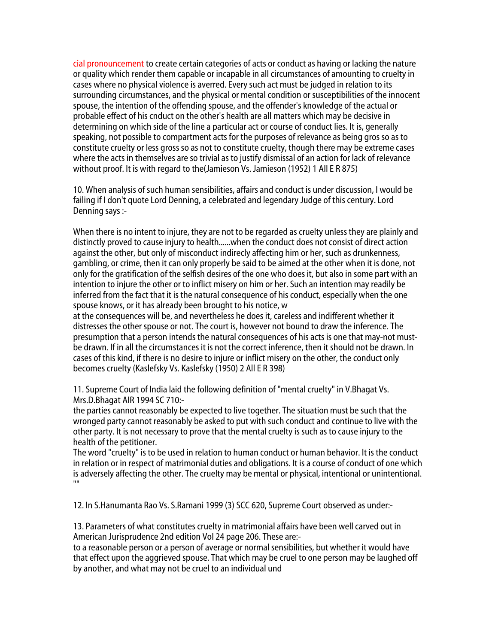cial pronouncement to create certain categories of acts or conduct as having or lacking the nature or quality which render them capable or incapable in all circumstances of amounting to cruelty in cases where no physical violence is averred. Every such act must be judged in relation to its surrounding circumstances, and the physical or mental condition or susceptibilities of the innocent spouse, the intention of the offending spouse, and the offender's knowledge of the actual or probable effect of his cnduct on the other's health are all matters which may be decisive in determining on which side of the line a particular act or course of conduct lies. It is, generally speaking, not possible to compartment acts for the purposes of relevance as being gros so as to constitute cruelty or less gross so as not to constitute cruelty, though there may be extreme cases where the acts in themselves are so trivial as to justify dismissal of an action for lack of relevance without proof. It is with regard to the(Jamieson Vs. Jamieson (1952) 1 All E R 875)

10. When analysis of such human sensibilities, affairs and conduct is under discussion, I would be failing if I don't quote Lord Denning, a celebrated and legendary Judge of this century. Lord Denning says :-

When there is no intent to injure, they are not to be regarded as cruelty unless they are plainly and distinctly proved to cause injury to health......when the conduct does not consist of direct action against the other, but only of misconduct indirecly affecting him or her, such as drunkenness, gambling, or crime, then it can only properly be said to be aimed at the other when it is done, not only for the gratification of the selfish desires of the one who does it, but also in some part with an intention to injure the other or to inflict misery on him or her. Such an intention may readily be inferred from the fact that it is the natural consequence of his conduct, especially when the one spouse knows, or it has already been brought to his notice, w

at the consequences will be, and nevertheless he does it, careless and indifferent whether it distresses the other spouse or not. The court is, however not bound to draw the inference. The presumption that a person intends the natural consequences of his acts is one that may-not mustbe drawn. If in all the circumstances it is not the correct inference, then it should not be drawn. In cases of this kind, if there is no desire to injure or inflict misery on the other, the conduct only becomes cruelty (Kaslefsky Vs. Kaslefsky (1950) 2 All E R 398)

11. Supreme Court of India laid the following definition of "mental cruelty" in V.Bhagat Vs. Mrs.D.Bhagat AIR 1994 SC 710:-

the parties cannot reasonably be expected to live together. The situation must be such that the wronged party cannot reasonably be asked to put with such conduct and continue to live with the other party. It is not necessary to prove that the mental cruelty is such as to cause injury to the health of the petitioner.

The word "cruelty" is to be used in relation to human conduct or human behavior. It is the conduct in relation or in respect of matrimonial duties and obligations. It is a course of conduct of one which is adversely affecting the other. The cruelty may be mental or physical, intentional or unintentional.  $^{\mathrm{m}}$ 

12. In S.Hanumanta Rao Vs. S.Ramani 1999 (3) SCC 620, Supreme Court observed as under:-

13. Parameters of what constitutes cruelty in matrimonial affairs have been well carved out in American Jurisprudence 2nd edition Vol 24 page 206. These are:-

to a reasonable person or a person of average or normal sensibilities, but whether it would have that effect upon the aggrieved spouse. That which may be cruel to one person may be laughed off by another, and what may not be cruel to an individual und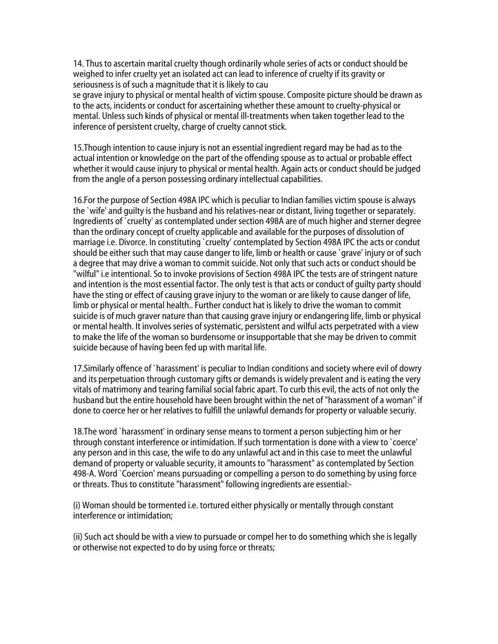14. Thus to ascertain marital cruelty though ordinarily whole series of acts or conduct should be weighed to infer cruelty yet an isolated act can lead to inference of cruelty if its gravity or seriousness is of such a magnitude that it is likely to cau

se grave injury to physical or mental health of victim spouse. Composite picture should be drawn as to the acts, incidents or conduct for ascertaining whether these amount to cruelty-physical or mental. Unless such kinds of physical or mental ill-treatments when taken together lead to the inference of persistent cruelty, charge of cruelty cannot stick.

15.Though intention to cause injury is not an essential ingredient regard may be had as to the actual intention or knowledge on the part of the offending spouse as to actual or probable effect whether it would cause injury to physical or mental health. Again acts or conduct should be judged from the angle of a person possessing ordinary intellectual capabilities.

16.For the purpose of Section 498A IPC which is peculiar to Indian families victim spouse is always the `wife' and guilty is the husband and his relatives-near or distant, living together or separately. Ingredients of `cruelty' as contemplated under section 498A are of much higher and sterner degree than the ordinary concept of cruelty applicable and available for the purposes of dissolution of marriage i.e. Divorce. In constituting `cruelty' contemplated by Section 498A IPC the acts or condut should be either such that may cause danger to life, limb or health or cause `grave' injury or of such a degree that may drive a woman to commit suicide. Not only that such acts or conduct should be "wilful" i.e intentional. So to invoke provisions of Section 498A IPC the tests are of stringent nature and intention is the most essential factor. The only test is that acts or conduct of guilty party should have the sting or effect of causing grave injury to the woman or are likely to cause danger of life, limb or physical or mental health.. Further conduct hat is likely to drive the woman to commit suicide is of much graver nature than that causing grave injury or endangering life, limb or physical or mental health. It involves series of systematic, persistent and wilful acts perpetrated with a view to make the life of the woman so burdensome or insupportable that she may be driven to commit suicide because of having been fed up with marital life.

17.Similarly offence of `harassment' is peculiar to Indian conditions and society where evil of dowry and its perpetuation through customary gifts or demands is widely prevalent and is eating the very vitals of matrimony and tearing familial social fabric apart. To curb this evil, the acts of not only the husband but the entire household have been brought within the net of "harassment of a woman" if done to coerce her or her relatives to fulfill the unlawful demands for property or valuable securiy.

18.The word `harassment' in ordinary sense means to torment a person subjecting him or her through constant interference or intimidation. If such tormentation is done with a view to `coerce' any person and in this case, the wife to do any unlawful act and in this case to meet the unlawful demand of property or valuable security, it amounts to "harassment" as contemplated by Section 498-A. Word `Coercion' means pursuading or compelling a person to do something by using force or threats. Thus to constitute "harassment" following ingredients are essential:-

(i) Woman should be tormented i.e. tortured either physically or mentally through constant interference or intimidation;

(ii) Such act should be with a view to pursuade or compel her to do something which she is legally or otherwise not expected to do by using force or threats;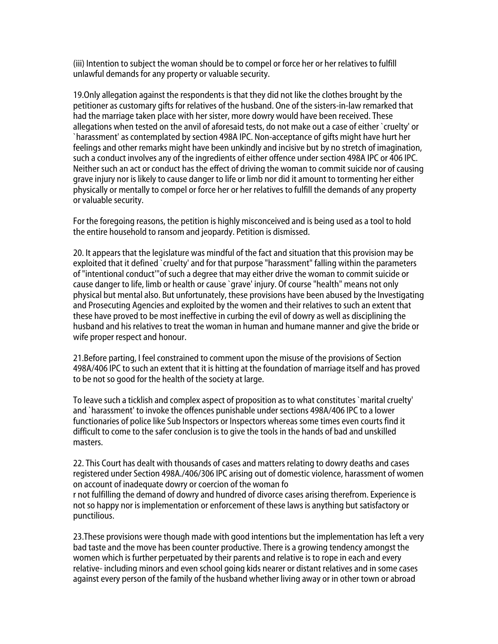(iii) Intention to subject the woman should be to compel or force her or her relatives to fulfill unlawful demands for any property or valuable security.

19.Only allegation against the respondents is that they did not like the clothes brought by the petitioner as customary gifts for relatives of the husband. One of the sisters-in-law remarked that had the marriage taken place with her sister, more dowry would have been received. These allegations when tested on the anvil of aforesaid tests, do not make out a case of either `cruelty' or `harassment' as contemplated by section 498A IPC. Non-acceptance of gifts might have hurt her feelings and other remarks might have been unkindly and incisive but by no stretch of imagination, such a conduct involves any of the ingredients of either offence under section 498A IPC or 406 IPC. Neither such an act or conduct has the effect of driving the woman to commit suicide nor of causing grave injury nor is likely to cause danger to life or limb nor did it amount to tormenting her either physically or mentally to compel or force her or her relatives to fulfill the demands of any property or valuable security.

For the foregoing reasons, the petition is highly misconceived and is being used as a tool to hold the entire household to ransom and jeopardy. Petition is dismissed.

20. It appears that the legislature was mindful of the fact and situation that this provision may be exploited that it defined `cruelty' and for that purpose "harassment" falling within the parameters of "intentional conduct'"of such a degree that may either drive the woman to commit suicide or cause danger to life, limb or health or cause `grave' injury. Of course "health" means not only physical but mental also. But unfortunately, these provisions have been abused by the Investigating and Prosecuting Agencies and exploited by the women and their relatives to such an extent that these have proved to be most ineffective in curbing the evil of dowry as well as disciplining the husband and his relatives to treat the woman in human and humane manner and give the bride or wife proper respect and honour.

21.Before parting, I feel constrained to comment upon the misuse of the provisions of Section 498A/406 IPC to such an extent that it is hitting at the foundation of marriage itself and has proved to be not so good for the health of the society at large.

To leave such a ticklish and complex aspect of proposition as to what constitutes `marital cruelty' and `harassment' to invoke the offences punishable under sections 498A/406 IPC to a lower functionaries of police like Sub Inspectors or Inspectors whereas some times even courts find it difficult to come to the safer conclusion is to give the tools in the hands of bad and unskilled masters.

22. This Court has dealt with thousands of cases and matters relating to dowry deaths and cases registered under Section 498A./406/306 IPC arising out of domestic violence, harassment of women on account of inadequate dowry or coercion of the woman fo r not fulfilling the demand of dowry and hundred of divorce cases arising therefrom. Experience is not so happy nor is implementation or enforcement of these laws is anything but satisfactory or punctilious.

23.These provisions were though made with good intentions but the implementation has left a very bad taste and the move has been counter productive. There is a growing tendency amongst the women which is further perpetuated by their parents and relative is to rope in each and every relative- including minors and even school going kids nearer or distant relatives and in some cases against every person of the family of the husband whether living away or in other town or abroad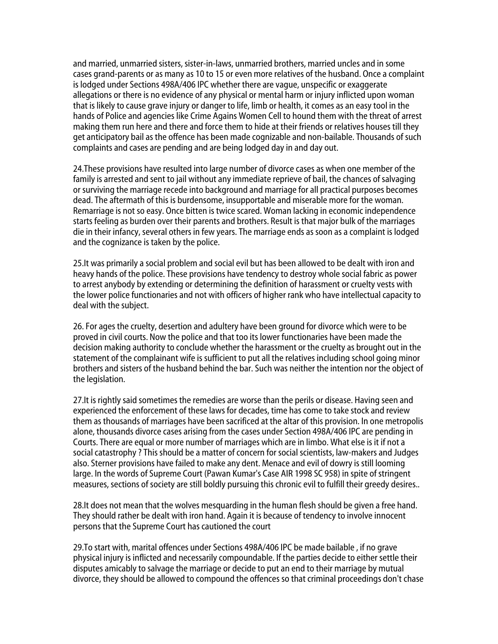and married, unmarried sisters, sister-in-laws, unmarried brothers, married uncles and in some cases grand-parents or as many as 10 to 15 or even more relatives of the husband. Once a complaint is lodged under Sections 498A/406 IPC whether there are vague, unspecific or exaggerate allegations or there is no evidence of any physical or mental harm or injury inflicted upon woman that is likely to cause grave injury or danger to life, limb or health, it comes as an easy tool in the hands of Police and agencies like Crime Agains Women Cell to hound them with the threat of arrest making them run here and there and force them to hide at their friends or relatives houses till they get anticipatory bail as the offence has been made cognizable and non-bailable. Thousands of such complaints and cases are pending and are being lodged day in and day out.

24.These provisions have resulted into large number of divorce cases as when one member of the family is arrested and sent to jail without any immediate reprieve of bail, the chances of salvaging or surviving the marriage recede into background and marriage for all practical purposes becomes dead. The aftermath of this is burdensome, insupportable and miserable more for the woman. Remarriage is not so easy. Once bitten is twice scared. Woman lacking in economic independence starts feeling as burden over their parents and brothers. Result is that major bulk of the marriages die in their infancy, several others in few years. The marriage ends as soon as a complaint is lodged and the cognizance is taken by the police.

25.It was primarily a social problem and social evil but has been allowed to be dealt with iron and heavy hands of the police. These provisions have tendency to destroy whole social fabric as power to arrest anybody by extending or determining the definition of harassment or cruelty vests with the lower police functionaries and not with officers of higher rank who have intellectual capacity to deal with the subject.

26. For ages the cruelty, desertion and adultery have been ground for divorce which were to be proved in civil courts. Now the police and that too its lower functionaries have been made the decision making authority to conclude whether the harassment or the cruelty as brought out in the statement of the complainant wife is sufficient to put all the relatives including school going minor brothers and sisters of the husband behind the bar. Such was neither the intention nor the object of the legislation.

27.It is rightly said sometimes the remedies are worse than the perils or disease. Having seen and experienced the enforcement of these laws for decades, time has come to take stock and review them as thousands of marriages have been sacrificed at the altar of this provision. In one metropolis alone, thousands divorce cases arising from the cases under Section 498A/406 IPC are pending in Courts. There are equal or more number of marriages which are in limbo. What else is it if not a social catastrophy ? This should be a matter of concern for social scientists, law-makers and Judges also. Sterner provisions have failed to make any dent. Menace and evil of dowry is still looming large. In the words of Supreme Court (Pawan Kumar's Case AIR 1998 SC 958) in spite of stringent measures, sections of society are still boldly pursuing this chronic evil to fulfill their greedy desires..

28.It does not mean that the wolves mesquarding in the human flesh should be given a free hand. They should rather be dealt with iron hand. Again it is because of tendency to involve innocent persons that the Supreme Court has cautioned the court

29.To start with, marital offences under Sections 498A/406 IPC be made bailable , if no grave physical injury is inflicted and necessarily compoundable. If the parties decide to either settle their disputes amicably to salvage the marriage or decide to put an end to their marriage by mutual divorce, they should be allowed to compound the offences so that criminal proceedings don't chase